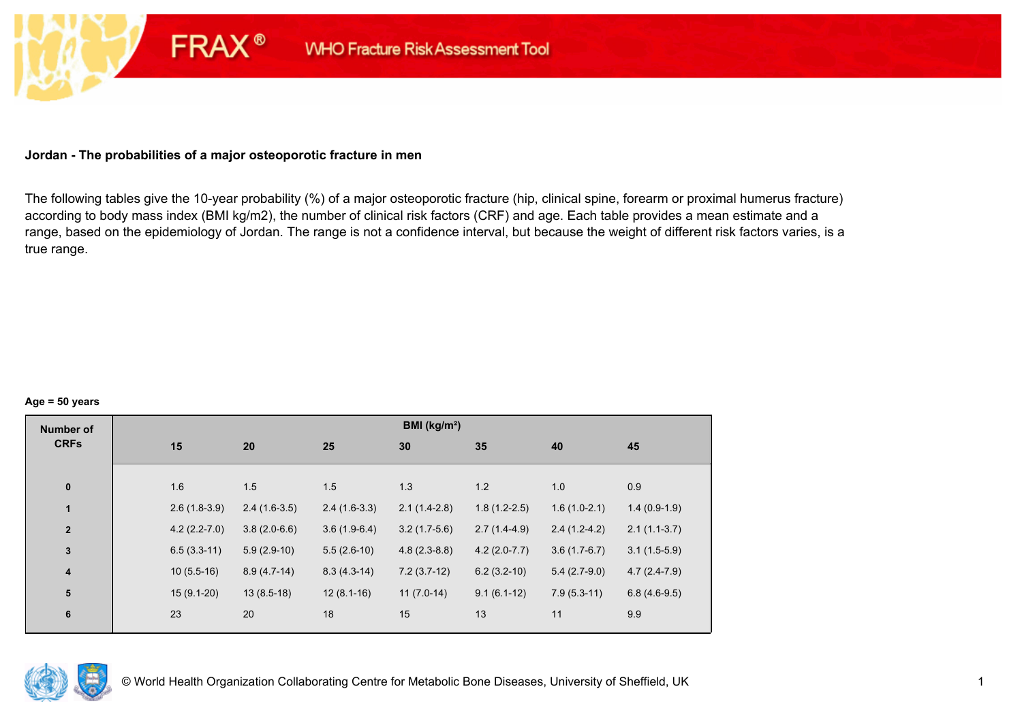### **Jordan - The probabilities of a major osteoporotic fracture in men**

**FRAX®** 

The following tables give the 10-year probability (%) of a major osteoporotic fracture (hip, clinical spine, forearm or proximal humerus fracture) according to body mass index (BMI kg/m2), the number of clinical risk factors (CRF) and age. Each table provides a mean estimate and a range, based on the epidemiology of Jordan. The range is not a confidence interval, but because the weight of different risk factors varies, is a true range.

#### **Age = 50 years**

| <b>Number of</b> |     |                |                |                | BMI (kg/m <sup>2</sup> ) |                |                |                |
|------------------|-----|----------------|----------------|----------------|--------------------------|----------------|----------------|----------------|
| <b>CRFs</b>      | 15  |                | 20             | 25             | 30                       | 35             | 40             | 45             |
|                  |     |                |                |                |                          |                |                |                |
| $\pmb{0}$        | 1.6 |                | 1.5            | 1.5            | 1.3                      | 1.2            | 1.0            | 0.9            |
| 1                |     | $2.6(1.8-3.9)$ | $2.4(1.6-3.5)$ | $2.4(1.6-3.3)$ | $2.1(1.4-2.8)$           | $1.8(1.2-2.5)$ | $1.6(1.0-2.1)$ | $1.4(0.9-1.9)$ |
| $\overline{2}$   |     | $4.2(2.2-7.0)$ | $3.8(2.0-6.6)$ | $3.6(1.9-6.4)$ | $3.2(1.7-5.6)$           | $2.7(1.4-4.9)$ | $2.4(1.2-4.2)$ | $2.1(1.1-3.7)$ |
| $\mathbf 3$      |     | $6.5(3.3-11)$  | $5.9(2.9-10)$  | $5.5(2.6-10)$  | $4.8(2.3-8.8)$           | $4.2(2.0-7.7)$ | $3.6(1.7-6.7)$ | $3.1(1.5-5.9)$ |
| $\boldsymbol{4}$ |     | $10(5.5-16)$   | $8.9(4.7-14)$  | $8.3(4.3-14)$  | $7.2(3.7-12)$            | $6.2(3.2-10)$  | $5.4(2.7-9.0)$ | $4.7(2.4-7.9)$ |
| 5                |     | $15(9.1-20)$   | $13(8.5-18)$   | $12(8.1-16)$   | $11(7.0-14)$             | $9.1(6.1-12)$  | $7.9(5.3-11)$  | $6.8(4.6-9.5)$ |
| 6                | 23  |                | 20             | 18             | 15                       | 13             | 11             | 9.9            |

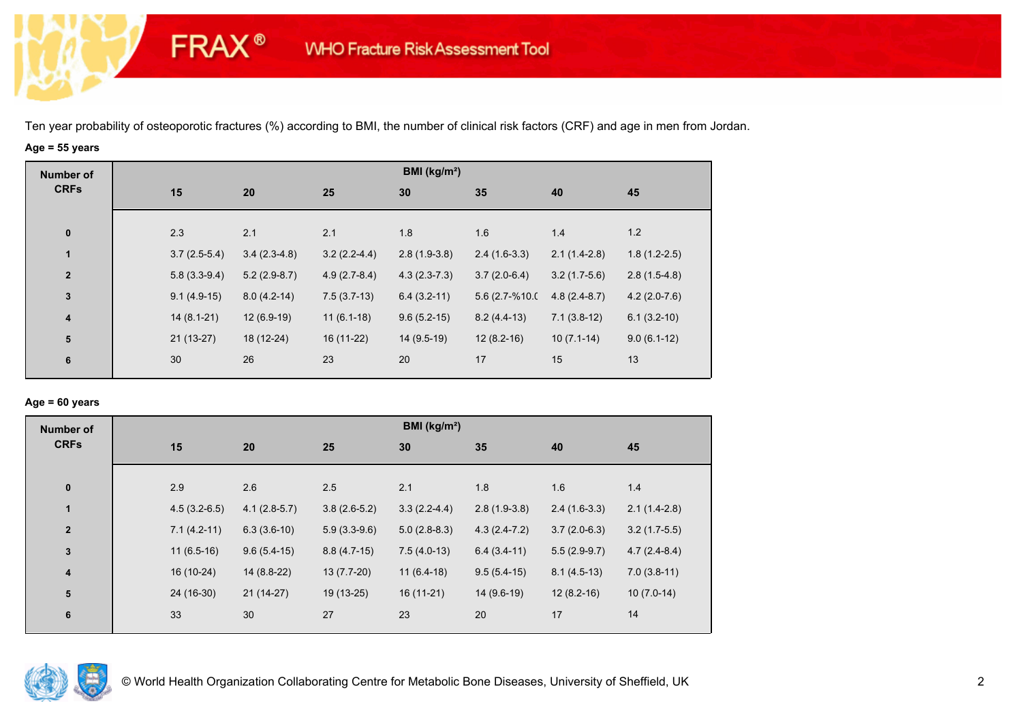## **Age = 55 years**

**FRAX®** 

| BMI (kg/m <sup>2</sup> )<br><b>Number of</b>                                           |                                                    |
|----------------------------------------------------------------------------------------|----------------------------------------------------|
| <b>CRFs</b><br>15<br>25<br>30<br>35<br>20                                              | 45<br>40                                           |
| 2.3<br>2.1<br>2.1<br>1.8<br>$\pmb{0}$<br>1.6                                           | 1.2<br>1.4                                         |
| 1<br>$3.2(2.2-4.4)$<br>$2.8(1.9-3.8)$<br>$3.7(2.5-5.4)$<br>$3.4(2.3-4.8)$              | $1.8(1.2-2.5)$<br>$2.4(1.6-3.3)$<br>$2.1(1.4-2.8)$ |
| $\overline{2}$<br>$5.8(3.3-9.4)$<br>$5.2(2.9-8.7)$<br>$4.9(2.7-8.4)$<br>$4.3(2.3-7.3)$ | $3.7(2.0-6.4)$<br>$3.2(1.7-5.6)$<br>$2.8(1.5-4.8)$ |
| $\mathbf 3$<br>$7.5(3.7-13)$<br>$6.4(3.2-11)$<br>$9.1(4.9-15)$<br>$8.0(4.2-14)$        | 5.6 (2.7-%10.0<br>$4.8(2.4-8.7)$<br>$4.2(2.0-7.6)$ |
| $12(6.9-19)$<br>$11(6.1-18)$<br>$14(8.1-21)$<br>$9.6(5.2-15)$<br>$\boldsymbol{4}$      | $7.1(3.8-12)$<br>$8.2(4.4-13)$<br>$6.1(3.2-10)$    |
| 5<br>$21(13-27)$<br>18 (12-24)<br>16 (11-22)<br>14 (9.5-19)                            | $12(8.2-16)$<br>$10(7.1-14)$<br>$9.0(6.1-12)$      |
| 23<br>17<br>30<br>26<br>20<br>6                                                        | 15<br>13                                           |

### **Age = 60 years**

| <b>Number of</b> |                |                |                | BMI ( $kg/m2$ ) |                |                |                |
|------------------|----------------|----------------|----------------|-----------------|----------------|----------------|----------------|
| <b>CRFs</b>      | 15             | 20             | 25             | 30              | 35             | 40             | 45             |
| $\pmb{0}$        | 2.9            | 2.6            | 2.5            | 2.1             | 1.8            | 1.6            | 1.4            |
| $\mathbf{1}$     | $4.5(3.2-6.5)$ | $4.1(2.8-5.7)$ | $3.8(2.6-5.2)$ | $3.3(2.2-4.4)$  | $2.8(1.9-3.8)$ | $2.4(1.6-3.3)$ | $2.1(1.4-2.8)$ |
| $\overline{2}$   | $7.1(4.2-11)$  | $6.3(3.6-10)$  | $5.9(3.3-9.6)$ | $5.0(2.8-8.3)$  | $4.3(2.4-7.2)$ | $3.7(2.0-6.3)$ | $3.2(1.7-5.5)$ |
| 3                | $11(6.5-16)$   | $9.6(5.4-15)$  | $8.8(4.7-15)$  | $7.5(4.0-13)$   | $6.4(3.4-11)$  | $5.5(2.9-9.7)$ | $4.7(2.4-8.4)$ |
| 4                | 16 (10-24)     | $14(8.8-22)$   | $13(7.7-20)$   | $11(6.4-18)$    | $9.5(5.4-15)$  | $8.1(4.5-13)$  | $7.0(3.8-11)$  |
| 5                | 24 (16-30)     | $21(14-27)$    | 19 (13-25)     | $16(11-21)$     | $14(9.6-19)$   | $12(8.2-16)$   | $10(7.0-14)$   |
| 6                | 33             | 30             | 27             | 23              | 20             | 17             | 14             |

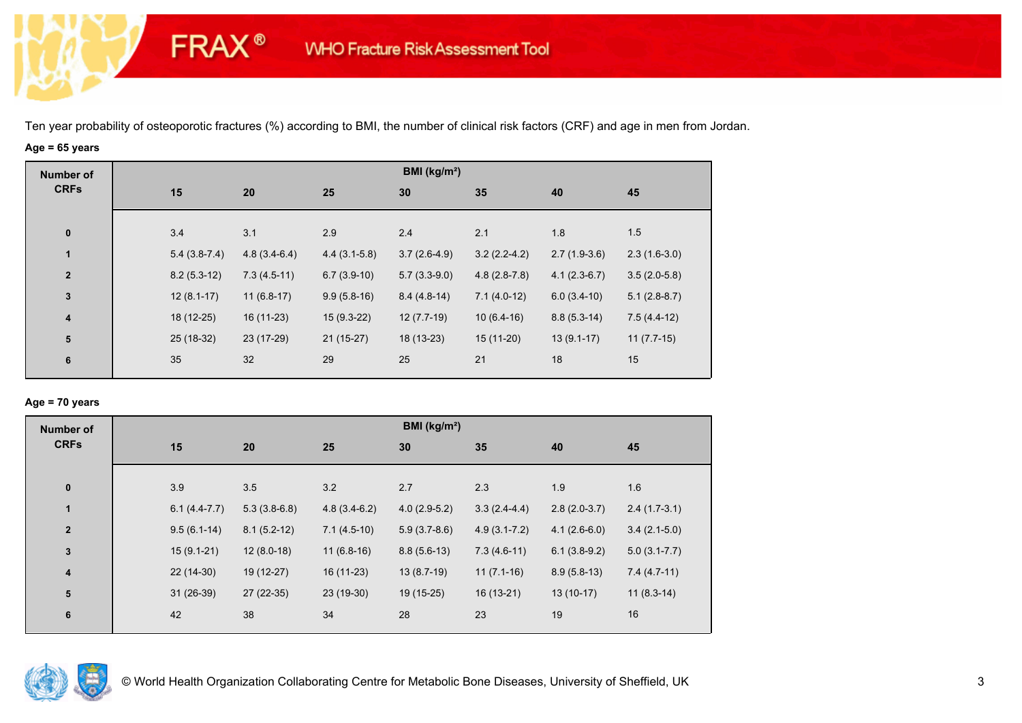# **Age = 65 years**

**FRAX®** 

| <b>Number of</b>        |                |                |                | BMI ( $kg/m2$ ) |                |                |                |
|-------------------------|----------------|----------------|----------------|-----------------|----------------|----------------|----------------|
| <b>CRFs</b>             | 15             | 20             | 25             | 30              | 35             | 40             | 45             |
| $\pmb{0}$               | 3.4            | 3.1            | 2.9            | 2.4             | 2.1            | 1.8            | 1.5            |
| 1                       | $5.4(3.8-7.4)$ | $4.8(3.4-6.4)$ | $4.4(3.1-5.8)$ | $3.7(2.6-4.9)$  | $3.2(2.2-4.2)$ | $2.7(1.9-3.6)$ | $2.3(1.6-3.0)$ |
| $\overline{2}$          | $8.2(5.3-12)$  | $7.3(4.5-11)$  | $6.7(3.9-10)$  | $5.7(3.3-9.0)$  | $4.8(2.8-7.8)$ | $4.1(2.3-6.7)$ | $3.5(2.0-5.8)$ |
| $\mathbf 3$             | $12(8.1-17)$   | $11(6.8-17)$   | $9.9(5.8-16)$  | $8.4(4.8-14)$   | $7.1(4.0-12)$  | $6.0(3.4-10)$  | $5.1(2.8-8.7)$ |
| $\overline{\mathbf{4}}$ | 18 (12-25)     | $16(11-23)$    | $15(9.3-22)$   | $12(7.7-19)$    | $10(6.4-16)$   | $8.8(5.3-14)$  | $7.5(4.4-12)$  |
| ${\bf 5}$               | 25 (18-32)     | 23 (17-29)     | $21(15-27)$    | 18 (13-23)      | $15(11-20)$    | $13(9.1-17)$   | $11(7.7-15)$   |
| 6                       | 35             | 32             | 29             | 25              | 21             | 18             | 15             |
|                         |                |                |                |                 |                |                |                |

### **Age = 70 years**

| <b>Number of</b>        |                |                |                | BMI (kg/m <sup>2</sup> ) |                  |                |                  |
|-------------------------|----------------|----------------|----------------|--------------------------|------------------|----------------|------------------|
| <b>CRFs</b>             | 15             | 20             | 25             | 30                       | 35               | 40             | 45               |
|                         |                |                |                |                          |                  |                |                  |
| $\pmb{0}$               | 3.9            | 3.5            | 3.2            | 2.7                      | 2.3              | 1.9            | 1.6              |
| $\mathbf{1}$            | $6.1(4.4-7.7)$ | $5.3(3.8-6.8)$ | $4.8(3.4-6.2)$ | $4.0(2.9-5.2)$           | $3.3(2.4-4.4)$   | $2.8(2.0-3.7)$ | $2.4(1.7-3.1)$   |
| $\overline{2}$          | $9.5(6.1-14)$  | $8.1(5.2-12)$  | $7.1(4.5-10)$  | $5.9(3.7-8.6)$           | $4.9(3.1 - 7.2)$ | $4.1(2.6-6.0)$ | $3.4(2.1-5.0)$   |
| $\mathbf 3$             | $15(9.1-21)$   | $12(8.0-18)$   | $11(6.8-16)$   | $8.8(5.6-13)$            | $7.3(4.6-11)$    | $6.1(3.8-9.2)$ | $5.0(3.1 - 7.7)$ |
| $\overline{\mathbf{4}}$ | 22 (14-30)     | 19 (12-27)     | $16(11-23)$    | $13(8.7-19)$             | $11(7.1-16)$     | $8.9(5.8-13)$  | $7.4(4.7-11)$    |
| ${\bf 5}$               | $31(26-39)$    | 27 (22-35)     | 23 (19-30)     | 19 (15-25)               | $16(13-21)$      | $13(10-17)$    | $11(8.3-14)$     |
| 6                       | 42             | 38             | 34             | 28                       | 23               | 19             | 16               |
|                         |                |                |                |                          |                  |                |                  |

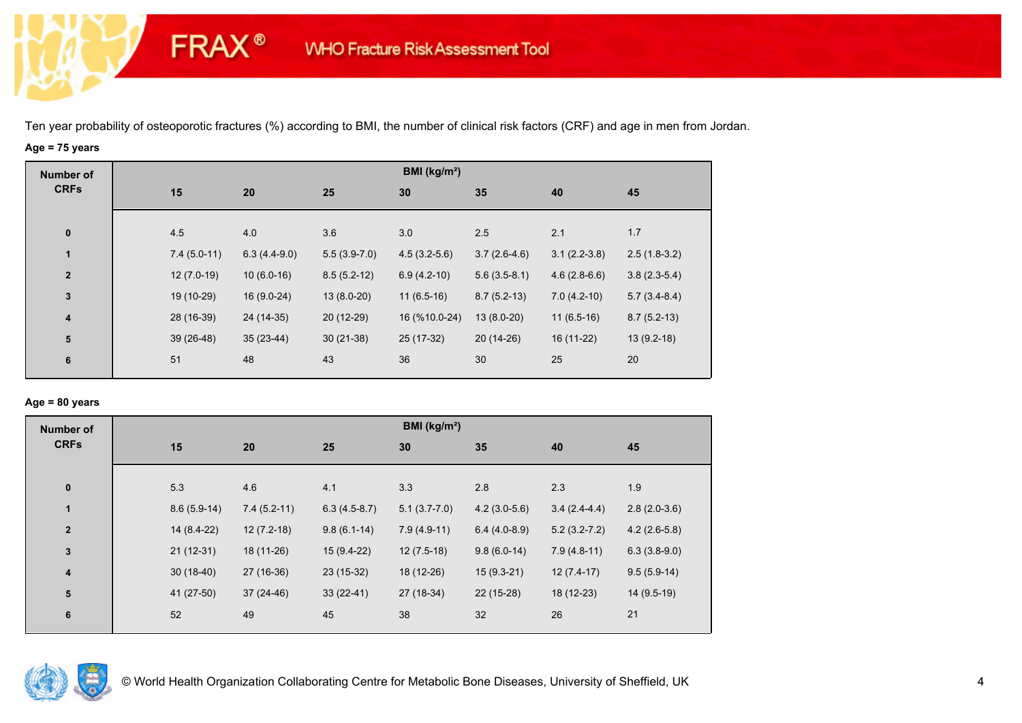# **Age = 75 years**

**FRAX®** 

| <b>Number of</b>        |               |                |                | BMI ( $kg/m2$ ) |                |                |                |
|-------------------------|---------------|----------------|----------------|-----------------|----------------|----------------|----------------|
| <b>CRFs</b>             | 15            | 20             | 25             | 30              | 35             | 40             | 45             |
|                         |               |                |                |                 |                |                |                |
| $\pmb{0}$               | 4.5           | 4.0            | 3.6            | 3.0             | 2.5            | 2.1            | 1.7            |
| $\mathbf{1}$            | $7.4(5.0-11)$ | $6.3(4.4-9.0)$ | $5.5(3.9-7.0)$ | $4.5(3.2-5.6)$  | $3.7(2.6-4.6)$ | $3.1(2.2-3.8)$ | $2.5(1.8-3.2)$ |
| $\overline{2}$          | $12(7.0-19)$  | $10(6.0-16)$   | $8.5(5.2-12)$  | $6.9(4.2-10)$   | $5.6(3.5-8.1)$ | $4.6(2.8-6.6)$ | $3.8(2.3-5.4)$ |
| $\mathbf 3$             | 19 (10-29)    | $16(9.0-24)$   | $13(8.0-20)$   | $11(6.5-16)$    | $8.7(5.2-13)$  | $7.0(4.2-10)$  | $5.7(3.4-8.4)$ |
| $\overline{\mathbf{4}}$ | 28 (16-39)    | 24 (14-35)     | $20(12-29)$    | 16 (%10.0-24)   | $13(8.0-20)$   | $11(6.5-16)$   | $8.7(5.2-13)$  |
| 5                       | 39 (26-48)    | $35(23-44)$    | $30(21-38)$    | 25 (17-32)      | $20(14-26)$    | 16 (11-22)     | $13(9.2-18)$   |
| 6                       | 51            | 48             | 43             | 36              | 30             | 25             | 20             |
|                         |               |                |                |                 |                |                |                |

### **Age = 80 years**

| <b>Number of</b>        |               |               |                | BMI ( $kg/m2$ ) |                |                |                |
|-------------------------|---------------|---------------|----------------|-----------------|----------------|----------------|----------------|
| <b>CRFs</b>             | 15            | 20            | 25             | 30              | 35             | 40             | 45             |
| $\pmb{0}$               | 5.3           | 4.6           | 4.1            | 3.3             | 2.8            | 2.3            | 1.9            |
| $\mathbf{1}$            | $8.6(5.9-14)$ | $7.4(5.2-11)$ | $6.3(4.5-8.7)$ | $5.1(3.7-7.0)$  | $4.2(3.0-5.6)$ | $3.4(2.4-4.4)$ | $2.8(2.0-3.6)$ |
| $\mathbf{2}$            | 14 (8.4-22)   | $12(7.2-18)$  | $9.8(6.1-14)$  | $7.9(4.9-11)$   | $6.4(4.0-8.9)$ | $5.2(3.2-7.2)$ | $4.2(2.6-5.8)$ |
| $\mathbf{3}$            | $21(12-31)$   | 18 (11-26)    | $15(9.4-22)$   | $12(7.5-18)$    | $9.8(6.0-14)$  | $7.9(4.8-11)$  | $6.3(3.8-9.0)$ |
| $\overline{\mathbf{4}}$ | $30(18-40)$   | 27 (16-36)    | 23 (15-32)     | 18 (12-26)      | $15(9.3-21)$   | $12(7.4-17)$   | $9.5(5.9-14)$  |
| 5                       | 41 (27-50)    | $37(24-46)$   | $33(22-41)$    | 27 (18-34)      | $22(15-28)$    | 18 (12-23)     | $14(9.5-19)$   |
| $6\phantom{1}6$         | 52            | 49            | 45             | 38              | 32             | 26             | 21             |